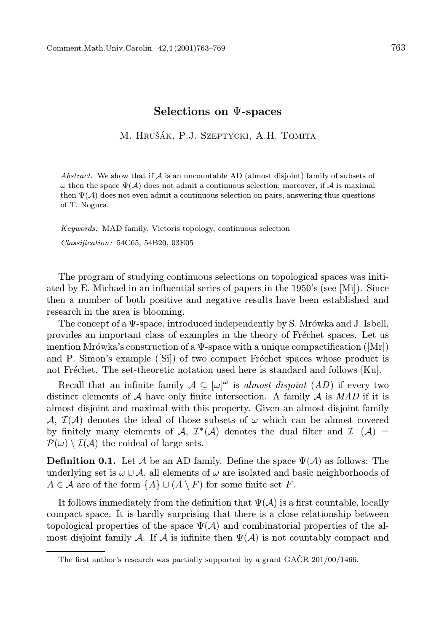## Selections on Ψ-spaces

M. HRUŠÁK, P.J. SZEPTYCKI, A.H. TOMITA

Abstract. We show that if  $A$  is an uncountable AD (almost disjoint) family of subsets of  $\omega$  then the space  $\Psi(\mathcal{A})$  does not admit a continuous selection; moreover, if A is maximal then  $\Psi(\mathcal{A})$  does not even admit a continuous selection on pairs, answering thus questions of T. Nogura.

Keywords: MAD family, Vietoris topology, continuous selection Classification: 54C65, 54B20, 03E05

The program of studying continuous selections on topological spaces was initiated by E. Michael in an influential series of papers in the 1950's (see [Mi]). Since then a number of both positive and negative results have been established and research in the area is blooming.

The concept of a  $\Psi$ -space, introduced independently by S. Mrówka and J. Isbell, provides an important class of examples in the theory of Fréchet spaces. Let us mention Mrówka's construction of a Ψ-space with a unique compactification ([Mr]) and P. Simon's example ([Si]) of two compact Fréchet spaces whose product is not Fréchet. The set-theoretic notation used here is standard and follows [Ku].

Recall that an infinite family  $A \subseteq [\omega]^\omega$  is almost disjoint  $(AD)$  if every two distinct elements of A have only finite intersection. A family A is  $MAD$  if it is almost disjoint and maximal with this property. Given an almost disjoint family A,  $\mathcal{I}(\mathcal{A})$  denotes the ideal of those subsets of  $\omega$  which can be almost covered by finitely many elements of A,  $\mathcal{I}^*(\mathcal{A})$  denotes the dual filter and  $\mathcal{I}^+(\mathcal{A})$  =  $\mathcal{P}(\omega) \setminus \mathcal{I}(\mathcal{A})$  the coideal of large sets.

**Definition 0.1.** Let A be an AD family. Define the space  $\Psi(\mathcal{A})$  as follows: The underlying set is  $\omega \cup A$ , all elements of  $\omega$  are isolated and basic neighborhoods of  $A \in \mathcal{A}$  are of the form  $\{A\} \cup (A \setminus F)$  for some finite set F.

It follows immediately from the definition that  $\Psi(\mathcal{A})$  is a first countable, locally compact space. It is hardly surprising that there is a close relationship between topological properties of the space  $\Psi(\mathcal{A})$  and combinatorial properties of the almost disjoint family A. If A is infinite then  $\Psi(\mathcal{A})$  is not countably compact and

The first author's research was partially supported by a grant  $GACR$  201/00/1466.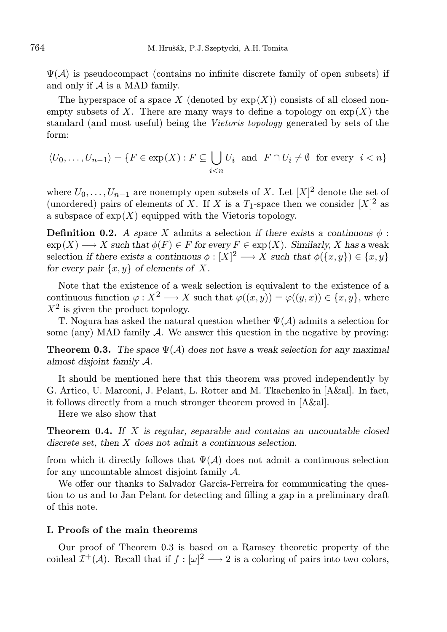$\Psi(A)$  is pseudocompact (contains no infinite discrete family of open subsets) if and only if A is a MAD family.

The hyperspace of a space X (denoted by  $\exp(X)$ ) consists of all closed nonempty subsets of X. There are many ways to define a topology on  $\exp(X)$  the standard (and most useful) being the Vietoris topology generated by sets of the form:

$$
\langle U_0, \dots, U_{n-1} \rangle = \{ F \in \exp(X) : F \subseteq \bigcup_{i < n} U_i \text{ and } F \cap U_i \neq \emptyset \text{ for every } i < n \}
$$

where  $U_0, \ldots, U_{n-1}$  are nonempty open subsets of X. Let  $[X]^2$  denote the set of (unordered) pairs of elements of X. If X is a  $T_1$ -space then we consider  $[X]^2$  as a subspace of  $exp(X)$  equipped with the Vietoris topology.

**Definition 0.2.** A space X admits a selection if there exists a continuous  $\phi$ :  $\exp(X) \longrightarrow X$  such that  $\phi(F) \in F$  for every  $F \in \exp(X)$ . Similarly, X has a weak selection if there exists a continuous  $\phi : [X]^2 \longrightarrow X$  such that  $\phi(\lbrace x, y \rbrace) \in \lbrace x, y \rbrace$ for every pair  $\{x, y\}$  of elements of X.

Note that the existence of a weak selection is equivalent to the existence of a continuous function  $\varphi: X^2 \longrightarrow X$  such that  $\varphi((x, y)) = \varphi((y, x)) \in \{x, y\}$ , where  $X^2$  is given the product topology.

T. Nogura has asked the natural question whether  $\Psi(\mathcal{A})$  admits a selection for some (any) MAD family  $\mathcal A$ . We answer this question in the negative by proving:

**Theorem 0.3.** The space  $\Psi(\mathcal{A})$  does not have a weak selection for any maximal almost disjoint family A.

It should be mentioned here that this theorem was proved independently by G. Artico, U. Marconi, J. Pelant, L. Rotter and M. Tkachenko in [A&al]. In fact, it follows directly from a much stronger theorem proved in [A&al].

Here we also show that

**Theorem 0.4.** If X is regular, separable and contains an uncountable closed discrete set, then X does not admit a continuous selection.

from which it directly follows that  $\Psi(\mathcal{A})$  does not admit a continuous selection for any uncountable almost disjoint family A.

We offer our thanks to Salvador Garcia-Ferreira for communicating the question to us and to Jan Pelant for detecting and filling a gap in a preliminary draft of this note.

## I. Proofs of the main theorems

Our proof of Theorem 0.3 is based on a Ramsey theoretic property of the coideal  $\mathcal{I}^+(\mathcal{A})$ . Recall that if  $f: [\omega]^2 \longrightarrow 2$  is a coloring of pairs into two colors,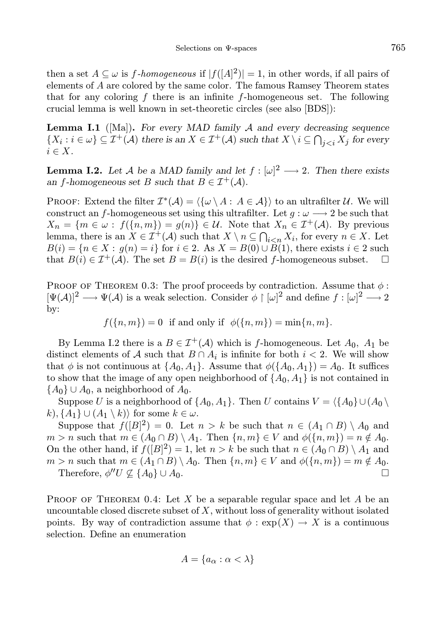then a set  $A \subseteq \omega$  is f-homogeneous if  $|f([A]^2)| = 1$ , in other words, if all pairs of elements of A are colored by the same color. The famous Ramsey Theorem states that for any coloring  $f$  there is an infinite  $f$ -homogeneous set. The following crucial lemma is well known in set-theoretic circles (see also [BDS]):

**Lemma I.1** ([Ma]). For every MAD family  $A$  and every decreasing sequence  $\{X_i : i \in \omega\} \subseteq \mathcal{I}^+(\mathcal{A})$  there is an  $X \in \mathcal{I}^+(\mathcal{A})$  such that  $X \setminus i \subseteq \bigcap_{j \leq i} X_j$  for every  $i \in X$ .

**Lemma I.2.** Let A be a MAD family and let  $f : [\omega]^2 \longrightarrow 2$ . Then there exists an f-homogeneous set B such that  $B \in \mathcal{I}^+(\mathcal{A})$ .

PROOF: Extend the filter  $\mathcal{I}^*(\mathcal{A}) = \langle \{ \omega \setminus A : A \in \mathcal{A} \} \rangle$  to an ultrafilter U. We will construct an f-homogeneous set using this ultrafilter. Let  $g : \omega \longrightarrow 2$  be such that  $X_n = \{m \in \omega : f(\{n, m\}) = g(n)\} \in \mathcal{U}$ . Note that  $X_n \in \mathcal{I}^+(\mathcal{A})$ . By previous lemma, there is an  $X \in \mathcal{I}^+(\mathcal{A})$  such that  $X \setminus n \subseteq \bigcap_{i \leq n} X_i$ , for every  $n \in X$ . Let  $B(i) = \{n \in X : g(n) = i\}$  for  $i \in 2$ . As  $X = B(0) \cup B(1)$ , there exists  $i \in 2$  such that  $B(i) \in \mathcal{I}^+(\mathcal{A})$ . The set  $B = B(i)$  is the desired f-homogeneous subset.  $\square$ 

PROOF OF THEOREM 0.3: The proof proceeds by contradiction. Assume that  $\phi$ :  $[\Psi(\mathcal{A})]^2 \longrightarrow \Psi(\mathcal{A})$  is a weak selection. Consider  $\phi \restriction [\omega]^2$  and define  $f : [\omega]^2 \longrightarrow 2$ by:

$$
f(\lbrace n,m \rbrace) = 0 \text{ if and only if } \phi(\lbrace n,m \rbrace) = \min\lbrace n,m \rbrace.
$$

By Lemma I.2 there is a  $B \in \mathcal{I}^+(\mathcal{A})$  which is f-homogeneous. Let  $A_0$ ,  $A_1$  be distinct elements of A such that  $B \cap A_i$  is infinite for both  $i < 2$ . We will show that  $\phi$  is not continuous at  $\{A_0, A_1\}$ . Assume that  $\phi(\{A_0, A_1\}) = A_0$ . It suffices to show that the image of any open neighborhood of  $\{A_0, A_1\}$  is not contained in  ${A_0} \cup A_0$ , a neighborhood of  $A_0$ .

Suppose U is a neighborhood of  $\{A_0, A_1\}$ . Then U contains  $V = \langle \{A_0\} \cup (A_0 \setminus A_1] \rangle$ k),  $\{A_1\} \cup (A_1 \setminus k)$  for some  $k \in \omega$ .

Suppose that  $f([B]^2) = 0$ . Let  $n > k$  be such that  $n \in (A_1 \cap B) \setminus A_0$  and  $m > n$  such that  $m \in (A_0 \cap B) \setminus A_1$ . Then  $\{n, m\} \in V$  and  $\phi(\{n, m\}) = n \notin A_0$ . On the other hand, if  $f([B]^2) = 1$ , let  $n > k$  be such that  $n \in (A_0 \cap B) \setminus A_1$  and  $m > n$  such that  $m \in (A_1 \cap B) \setminus A_0$ . Then  $\{n, m\} \in V$  and  $\phi(\{n, m\}) = m \notin A_0$ . Therefore,  $\phi''U \nsubseteq \{A_0\} \cup A_0$ .

PROOF OF THEOREM 0.4: Let X be a separable regular space and let A be an uncountable closed discrete subset of  $X$ , without loss of generality without isolated points. By way of contradiction assume that  $\phi : \exp(X) \to X$  is a continuous selection. Define an enumeration

$$
A = \{a_{\alpha} : \alpha < \lambda\}
$$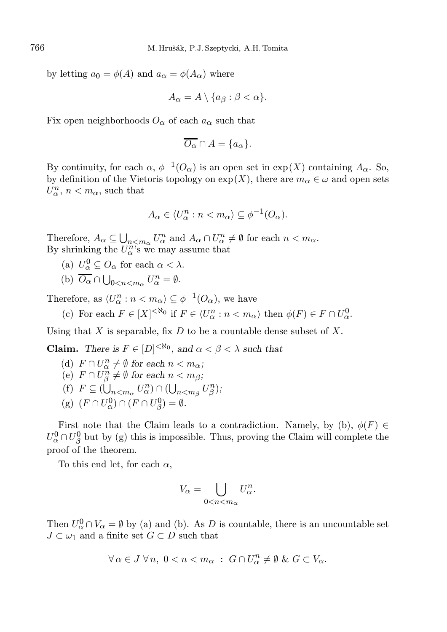by letting  $a_0 = \phi(A)$  and  $a_\alpha = \phi(A_\alpha)$  where

$$
A_{\alpha} = A \setminus \{a_{\beta} : \beta < \alpha\}.
$$

Fix open neighborhoods  $O_{\alpha}$  of each  $a_{\alpha}$  such that

$$
\overline{O_{\alpha}} \cap A = \{a_{\alpha}\}.
$$

By continuity, for each  $\alpha$ ,  $\phi^{-1}(O_{\alpha})$  is an open set in  $\exp(X)$  containing  $A_{\alpha}$ . So, by definition of the Vietoris topology on  $exp(X)$ , there are  $m_{\alpha} \in \omega$  and open sets  $U_{\alpha}^{n}$ ,  $n < m_{\alpha}$ , such that

$$
A_{\alpha} \in \langle U_{\alpha}^n : n < m_{\alpha} \rangle \subseteq \phi^{-1}(O_{\alpha}).
$$

Therefore,  $A_{\alpha} \subseteq \bigcup_{n \leq m_{\alpha}} U_{\alpha}^{n}$  and  $A_{\alpha} \cap U_{\alpha}^{n} \neq \emptyset$  for each  $n < m_{\alpha}$ . By shrinking the  $U_{\alpha}^{n}$ 's we may assume that

- (a)  $U_{\alpha}^0 \subseteq O_{\alpha}$  for each  $\alpha < \lambda$ .
- (b)  $\overline{O_{\alpha}} \cap \bigcup_{0 \leq n \leq m_{\alpha}} U_{\alpha}^{n} = \emptyset.$

Therefore, as  $\langle U_{\alpha}^n : n \langle m_{\alpha} \rangle \subseteq \phi^{-1}(O_{\alpha}),$  we have

(c) For each  $F \in [X]^{< \aleph_0}$  if  $F \in \langle U^n_\alpha : n \langle m_\alpha \rangle$  then  $\phi(F) \in F \cap U^0_\alpha$ .

Using that  $X$  is separable, fix  $D$  to be a countable dense subset of  $X$ .

**Claim.** There is  $F \in [D]^{< \aleph_0}$ , and  $\alpha < \beta < \lambda$  such that

- (d)  $F \cap U^n_\alpha \neq \emptyset$  for each  $n < m_\alpha$ ; (e)  $F \cap U_{\beta}^n \neq \emptyset$  for each  $n < m_{\beta}$ ; (f)  $F \subseteq (\bigcup_{n < m_\alpha} U_\alpha^n) \cap (\bigcup_{n < m_\beta} U_\beta^n);$
- (g)  $(F \cap U_\alpha^0) \cap (F \cap U_\beta^0) = \emptyset.$

First note that the Claim leads to a contradiction. Namely, by (b),  $\phi(F) \in$  $U^0_\alpha \cap U^0_\beta$  but by (g) this is impossible. Thus, proving the Claim will complete the proof of the theorem.

To this end let, for each  $\alpha$ ,

$$
V_{\alpha} = \bigcup_{0 < n < m_{\alpha}} U_{\alpha}^n.
$$

Then  $U_{\alpha}^0 \cap V_{\alpha} = \emptyset$  by (a) and (b). As D is countable, there is an uncountable set  $J \subset \omega_1$  and a finite set  $G \subset D$  such that

$$
\forall \alpha \in J \,\forall n, \ 0 < n < m_\alpha \; : \; G \cap U^n_\alpha \neq \emptyset \,\, \& \, \, G \subset V_\alpha.
$$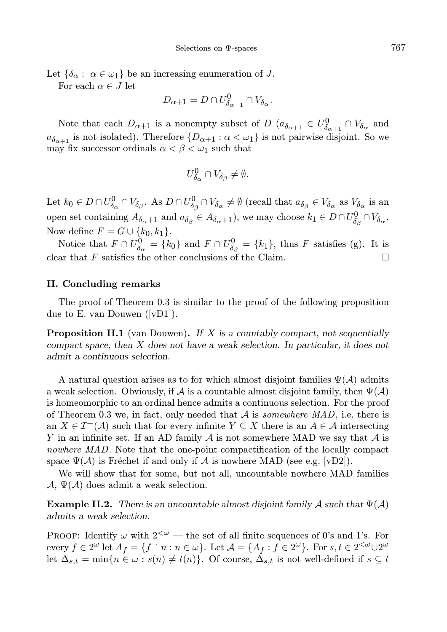Let  $\{\delta_{\alpha} : \alpha \in \omega_1\}$  be an increasing enumeration of J.

For each  $\alpha \in J$  let

$$
D_{\alpha+1} = D \cap U^0_{\delta_{\alpha+1}} \cap V_{\delta_{\alpha}}.
$$

Note that each  $D_{\alpha+1}$  is a nonempty subset of  $D$   $(a_{\delta_{\alpha+1}} \in U^0_{\delta_{\alpha+1}} \cap V_{\delta_{\alpha}})$  and  $a_{\delta_{\alpha+1}}$  is not isolated). Therefore  $\{D_{\alpha+1} : \alpha < \omega_1\}$  is not pairwise disjoint. So we may fix successor ordinals  $\alpha < \beta < \omega_1$  such that

$$
U^0_{\delta_{\alpha}} \cap V_{\delta_{\beta}} \neq \emptyset.
$$

Let  $k_0 \in D \cap U_{\delta_{\alpha}}^0 \cap V_{\delta_{\beta}}$ . As  $D \cap U_{\delta_{\beta}}^0 \cap V_{\delta_{\alpha}} \neq \emptyset$  (recall that  $a_{\delta_{\beta}} \in V_{\delta_{\alpha}}$  as  $V_{\delta_{\alpha}}$  is an open set containing  $A_{\delta_{\alpha}+1}$  and  $a_{\delta_{\beta}} \in A_{\delta_{\alpha}+1}$ , we may choose  $k_1 \in D \cap U^0_{\delta_{\beta}} \cap V_{\delta_{\alpha}}$ . Now define  $F = G \cup \{k_0, k_1\}.$ 

Notice that  $F \cap U_{\delta_{\alpha}}^0 = \{k_0\}$  and  $F \cap U_{\delta_{\beta}}^0 = \{k_1\}$ , thus F satisfies (g). It is clear that F satisfies the other conclusions of the Claim.

## II. Concluding remarks

The proof of Theorem 0.3 is similar to the proof of the following proposition due to E. van Douwen ([vD1]).

**Proposition II.1** (van Douwen). If  $X$  is a countably compact, not sequentially compact space, then X does not have a weak selection. In particular, it does not admit a continuous selection.

A natural question arises as to for which almost disjoint families  $\Psi(\mathcal{A})$  admits a weak selection. Obviously, if A is a countable almost disjoint family, then  $\Psi(\mathcal{A})$ is homeomorphic to an ordinal hence admits a continuous selection. For the proof of Theorem 0.3 we, in fact, only needed that  $A$  is *somewhere MAD*, i.e. there is an  $X \in \mathcal{I}^+(\mathcal{A})$  such that for every infinite  $Y \subseteq X$  there is an  $A \in \mathcal{A}$  intersecting Y in an infinite set. If an AD family  $A$  is not somewhere MAD we say that  $A$  is nowhere MAD. Note that the one-point compactification of the locally compact space  $\Psi(\mathcal{A})$  is Fréchet if and only if  $\mathcal{A}$  is nowhere MAD (see e.g. [vD2]).

We will show that for some, but not all, uncountable nowhere MAD families  $\mathcal{A}, \Psi(\mathcal{A})$  does admit a weak selection.

**Example II.2.** There is an uncountable almost disjoint family A such that  $\Psi(\mathcal{A})$ admits a weak selection.

PROOF: Identify  $\omega$  with  $2<sup>{\omega}</sup>$  — the set of all finite sequences of 0's and 1's. For every  $f \in 2^{\omega}$  let  $A_f = \{f \mid n : n \in \omega\}$ . Let  $\mathcal{A} = \{A_f : f \in 2^{\omega}\}$ . For  $s, t \in 2^{<\omega} \cup 2^{\omega}$ let  $\Delta_{s,t} = \min\{n \in \omega : s(n) \neq t(n)\}\$ . Of course,  $\Delta_{s,t}$  is not well-defined if  $s \subseteq t$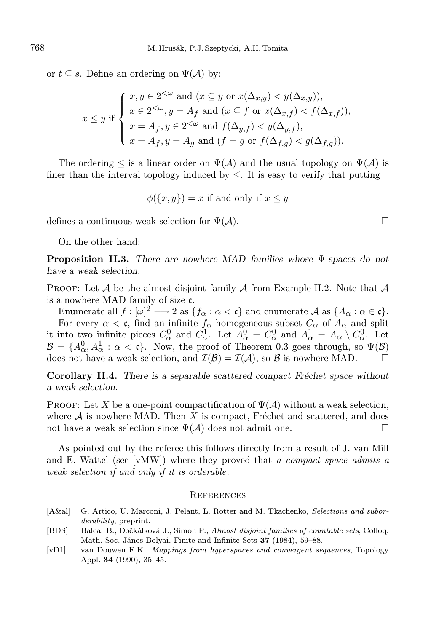or  $t \subseteq s$ . Define an ordering on  $\Psi(\mathcal{A})$  by:

$$
x \le y \text{ if } \begin{cases} x, y \in 2^{<\omega} \text{ and } (x \subseteq y \text{ or } x(\Delta_{x,y}) < y(\Delta_{x,y})), \\ x \in 2^{<\omega}, y = A_f \text{ and } (x \subseteq f \text{ or } x(\Delta_{x,f}) < f(\Delta_{x,f})), \\ x = A_f, y \in 2^{<\omega} \text{ and } f(\Delta_{y,f}) < y(\Delta_{y,f}), \\ x = A_f, y = A_g \text{ and } (f = g \text{ or } f(\Delta_{f,g}) < g(\Delta_{f,g})). \end{cases}
$$

The ordering  $\leq$  is a linear order on  $\Psi(\mathcal{A})$  and the usual topology on  $\Psi(\mathcal{A})$  is finer than the interval topology induced by  $\leq$ . It is easy to verify that putting

$$
\phi(\{x, y\}) = x
$$
 if and only if  $x \le y$ 

defines a continuous weak selection for  $\Psi(\mathcal{A})$ .

On the other hand:

Proposition II.3. There are nowhere MAD families whose Ψ-spaces do not have a weak selection.

**PROOF:** Let  $\mathcal A$  be the almost disjoint family  $\mathcal A$  from Example II.2. Note that  $\mathcal A$ is a nowhere MAD family of size c.

Enumerate all  $f:[\omega]^2\longrightarrow 2$  as  $\{f_\alpha:\alpha<\mathfrak{c}\}$  and enumerate  $\mathcal A$  as  $\{A_\alpha:\alpha\in\mathfrak{c}\}.$ For every  $\alpha < \mathfrak{c}$ , find an infinite  $f_{\alpha}$ -homogeneous subset  $C_{\alpha}$  of  $A_{\alpha}$  and split it into two infinite pieces  $C_{\alpha}^0$  and  $C_{\alpha}^1$ . Let  $A_{\alpha}^0 = C_{\alpha}^0$  and  $A_{\alpha}^1 = A_{\alpha} \setminus C_{\alpha}^0$ . Let  $\mathcal{B} = \{A^0_{\alpha}, A^1_{\alpha} : \alpha < \mathfrak{c}\}\.$  Now, the proof of Theorem 0.3 goes through, so  $\Psi(\mathcal{B})$ does not have a weak selection, and  $\mathcal{I}(\mathcal{B}) = \mathcal{I}(\mathcal{A})$ , so  $\mathcal{B}$  is nowhere MAD.

Corollary II.4. There is a separable scattered compact Fréchet space without a weak selection.

PROOF: Let X be a one-point compactification of  $\Psi(\mathcal{A})$  without a weak selection, where  $A$  is nowhere MAD. Then  $X$  is compact, Fréchet and scattered, and does not have a weak selection since  $\Psi(\mathcal{A})$  does not admit one.

As pointed out by the referee this follows directly from a result of J. van Mill and E. Wattel (see [vMW]) where they proved that a compact space admits a weak selection if and only if it is orderable.

## **REFERENCES**

- [A&al] G. Artico, U. Marconi, J. Pelant, L. Rotter and M. Tkachenko, Selections and suborderability, preprint.
- [BDS] Balcar B., Dočkálková J., Simon P., Almost disjoint families of countable sets, Colloq. Math. Soc. János Bolyai, Finite and Infinite Sets 37 (1984), 59–88.
- [vD1] van Douwen E.K., Mappings from hyperspaces and convergent sequences, Topology Appl. 34 (1990), 35–45.